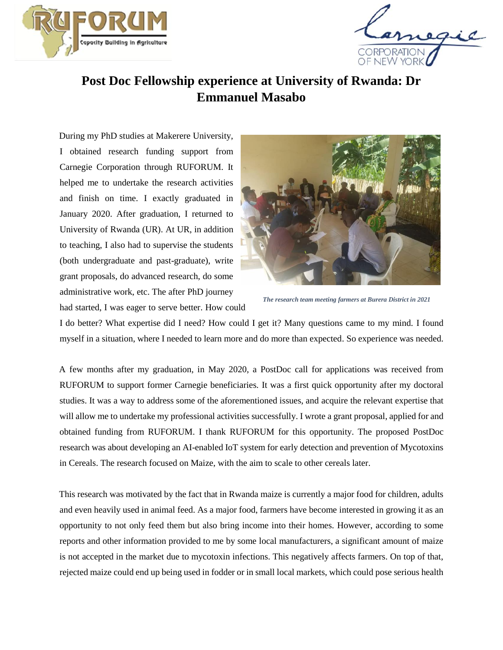



## **Post Doc Fellowship experience at University of Rwanda: Dr Emmanuel Masabo**

During my PhD studies at Makerere University, I obtained research funding support from Carnegie Corporation through RUFORUM. It helped me to undertake the research activities and finish on time. I exactly graduated in January 2020. After graduation, I returned to University of Rwanda (UR). At UR, in addition to teaching, I also had to supervise the students (both undergraduate and past-graduate), write grant proposals, do advanced research, do some administrative work, etc. The after PhD journey had started, I was eager to serve better. How could



*The research team meeting farmers at Burera District in 2021*

I do better? What expertise did I need? How could I get it? Many questions came to my mind. I found myself in a situation, where I needed to learn more and do more than expected. So experience was needed.

A few months after my graduation, in May 2020, a PostDoc call for applications was received from RUFORUM to support former Carnegie beneficiaries. It was a first quick opportunity after my doctoral studies. It was a way to address some of the aforementioned issues, and acquire the relevant expertise that will allow me to undertake my professional activities successfully. I wrote a grant proposal, applied for and obtained funding from RUFORUM. I thank RUFORUM for this opportunity. The proposed PostDoc research was about developing an AI-enabled IoT system for early detection and prevention of Mycotoxins in Cereals. The research focused on Maize, with the aim to scale to other cereals later.

This research was motivated by the fact that in Rwanda maize is currently a major food for children, adults and even heavily used in animal feed. As a major food, farmers have become interested in growing it as an opportunity to not only feed them but also bring income into their homes. However, according to some reports and other information provided to me by some local manufacturers, a significant amount of maize is not accepted in the market due to mycotoxin infections. This negatively affects farmers. On top of that, rejected maize could end up being used in fodder or in small local markets, which could pose serious health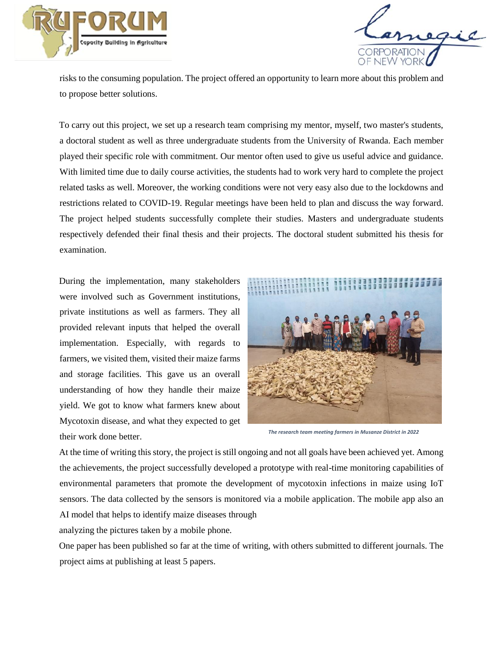



risks to the consuming population. The project offered an opportunity to learn more about this problem and to propose better solutions.

To carry out this project, we set up a research team comprising my mentor, myself, two master's students, a doctoral student as well as three undergraduate students from the University of Rwanda. Each member played their specific role with commitment. Our mentor often used to give us useful advice and guidance. With limited time due to daily course activities, the students had to work very hard to complete the project related tasks as well. Moreover, the working conditions were not very easy also due to the lockdowns and restrictions related to COVID-19. Regular meetings have been held to plan and discuss the way forward. The project helped students successfully complete their studies. Masters and undergraduate students respectively defended their final thesis and their projects. The doctoral student submitted his thesis for examination.

During the implementation, many stakeholders were involved such as Government institutions, private institutions as well as farmers. They all provided relevant inputs that helped the overall implementation. Especially, with regards to farmers, we visited them, visited their maize farms and storage facilities. This gave us an overall understanding of how they handle their maize yield. We got to know what farmers knew about Mycotoxin disease, and what they expected to get their work done better.



*The research team meeting farmers in Musanze District in 2022*

At the time of writing this story, the project is still ongoing and not all goals have been achieved yet. Among the achievements, the project successfully developed a prototype with real-time monitoring capabilities of environmental parameters that promote the development of mycotoxin infections in maize using IoT sensors. The data collected by the sensors is monitored via a mobile application. The mobile app also an AI model that helps to identify maize diseases through

analyzing the pictures taken by a mobile phone.

One paper has been published so far at the time of writing, with others submitted to different journals. The project aims at publishing at least 5 papers.